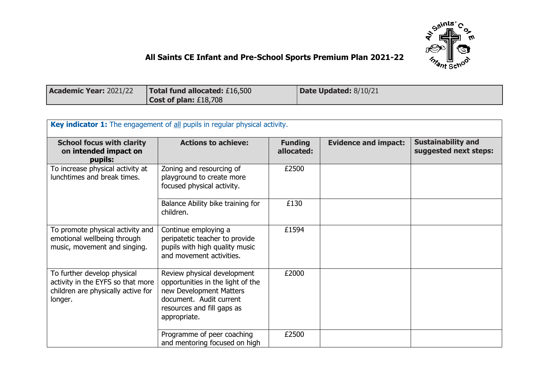

## **All Saints CE Infant and Pre-School Sports Premium Plan 2021-22**

| <b>Academic Year: 2021/22</b> | Total fund allocated: £16,500 | Date Updated: 8/10/21 |
|-------------------------------|-------------------------------|-----------------------|
|                               | Cost of plan: $£18,708$       |                       |

| Key indicator 1: The engagement of all pupils in regular physical activity.                                       |                                                                                                                                                                      |                              |                             |                                                    |  |
|-------------------------------------------------------------------------------------------------------------------|----------------------------------------------------------------------------------------------------------------------------------------------------------------------|------------------------------|-----------------------------|----------------------------------------------------|--|
| <b>School focus with clarity</b><br>on intended impact on<br>pupils:                                              | <b>Actions to achieve:</b>                                                                                                                                           | <b>Funding</b><br>allocated: | <b>Evidence and impact:</b> | <b>Sustainability and</b><br>suggested next steps: |  |
| To increase physical activity at<br>lunchtimes and break times.                                                   | Zoning and resourcing of<br>playground to create more<br>focused physical activity.                                                                                  | £2500                        |                             |                                                    |  |
|                                                                                                                   | Balance Ability bike training for<br>children.                                                                                                                       | £130                         |                             |                                                    |  |
| To promote physical activity and<br>emotional wellbeing through<br>music, movement and singing.                   | Continue employing a<br>peripatetic teacher to provide<br>pupils with high quality music<br>and movement activities.                                                 | £1594                        |                             |                                                    |  |
| To further develop physical<br>activity in the EYFS so that more<br>children are physically active for<br>longer. | Review physical development<br>opportunities in the light of the<br>new Development Matters<br>document. Audit current<br>resources and fill gaps as<br>appropriate. | £2000                        |                             |                                                    |  |
|                                                                                                                   | Programme of peer coaching<br>and mentoring focused on high                                                                                                          | £2500                        |                             |                                                    |  |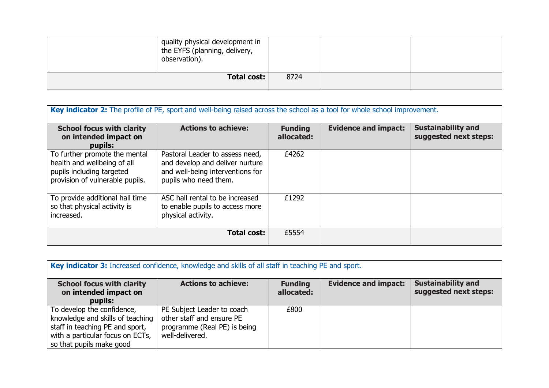| quality physical development in<br>the EYFS (planning, delivery,<br>observation). |      |  |
|-----------------------------------------------------------------------------------|------|--|
| <b>Total cost:</b>                                                                | 8724 |  |

| Key indicator 2: The profile of PE, sport and well-being raised across the school as a tool for whole school improvement.    |                                                                                                                                 |                              |                             |                                                    |
|------------------------------------------------------------------------------------------------------------------------------|---------------------------------------------------------------------------------------------------------------------------------|------------------------------|-----------------------------|----------------------------------------------------|
| <b>School focus with clarity</b><br>on intended impact on<br>pupils:                                                         | <b>Actions to achieve:</b>                                                                                                      | <b>Funding</b><br>allocated: | <b>Evidence and impact:</b> | <b>Sustainability and</b><br>suggested next steps: |
| To further promote the mental<br>health and wellbeing of all<br>pupils including targeted<br>provision of vulnerable pupils. | Pastoral Leader to assess need,<br>and develop and deliver nurture<br>and well-being interventions for<br>pupils who need them. | £4262                        |                             |                                                    |
| To provide additional hall time<br>so that physical activity is<br>increased.                                                | ASC hall rental to be increased<br>to enable pupils to access more<br>physical activity.                                        | £1292                        |                             |                                                    |
|                                                                                                                              | <b>Total cost:</b>                                                                                                              | £5554                        |                             |                                                    |

| Key indicator 3: Increased confidence, knowledge and skills of all staff in teaching PE and sport.                                                                |                                                                                                            |                              |                             |                                                    |  |
|-------------------------------------------------------------------------------------------------------------------------------------------------------------------|------------------------------------------------------------------------------------------------------------|------------------------------|-----------------------------|----------------------------------------------------|--|
| <b>School focus with clarity</b><br>on intended impact on<br>pupils:                                                                                              | <b>Actions to achieve:</b>                                                                                 | <b>Funding</b><br>allocated: | <b>Evidence and impact:</b> | <b>Sustainability and</b><br>suggested next steps: |  |
| To develop the confidence,<br>knowledge and skills of teaching<br>staff in teaching PE and sport,<br>with a particular focus on ECTs,<br>so that pupils make good | PE Subject Leader to coach<br>other staff and ensure PE<br>programme (Real PE) is being<br>well-delivered. | £800                         |                             |                                                    |  |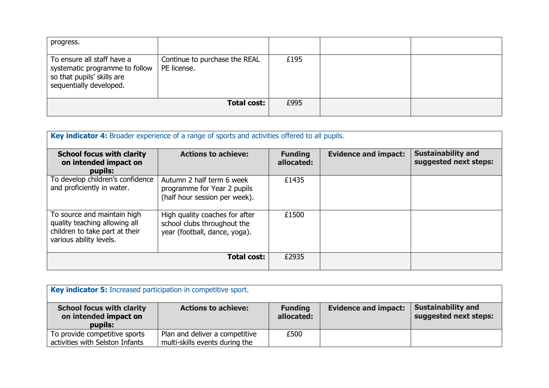| progress.                                                                                                             |                                              |      |  |
|-----------------------------------------------------------------------------------------------------------------------|----------------------------------------------|------|--|
| To ensure all staff have a<br>systematic programme to follow<br>so that pupils' skills are<br>sequentially developed. | Continue to purchase the REAL<br>PE license. | £195 |  |
|                                                                                                                       | <b>Total cost:</b>                           | £995 |  |

| Key indicator 4: Broader experience of a range of sports and activities offered to all pupils.                            |                                                                                                |                              |                             |                                                    |
|---------------------------------------------------------------------------------------------------------------------------|------------------------------------------------------------------------------------------------|------------------------------|-----------------------------|----------------------------------------------------|
| <b>School focus with clarity</b><br>on intended impact on<br>pupils:                                                      | <b>Actions to achieve:</b>                                                                     | <b>Funding</b><br>allocated: | <b>Evidence and impact:</b> | <b>Sustainability and</b><br>suggested next steps: |
| To develop children's confidence<br>and proficiently in water.                                                            | Autumn 2 half term 6 week<br>programme for Year 2 pupils<br>(half hour session per week).      | £1435                        |                             |                                                    |
| To source and maintain high<br>quality teaching allowing all<br>children to take part at their<br>various ability levels. | High quality coaches for after<br>school clubs throughout the<br>year (football, dance, yoga). | £1500                        |                             |                                                    |
|                                                                                                                           | Total cost:                                                                                    | £2935                        |                             |                                                    |

| Key indicator 5: Increased participation in competitive sport.       |                                                                  |                              |                             |                                                    |  |
|----------------------------------------------------------------------|------------------------------------------------------------------|------------------------------|-----------------------------|----------------------------------------------------|--|
| <b>School focus with clarity</b><br>on intended impact on<br>pupils: | <b>Actions to achieve:</b>                                       | <b>Funding</b><br>allocated: | <b>Evidence and impact:</b> | <b>Sustainability and</b><br>suggested next steps: |  |
| To provide competitive sports<br>activities with Selston Infants     | Plan and deliver a competitive<br>multi-skills events during the | £500                         |                             |                                                    |  |